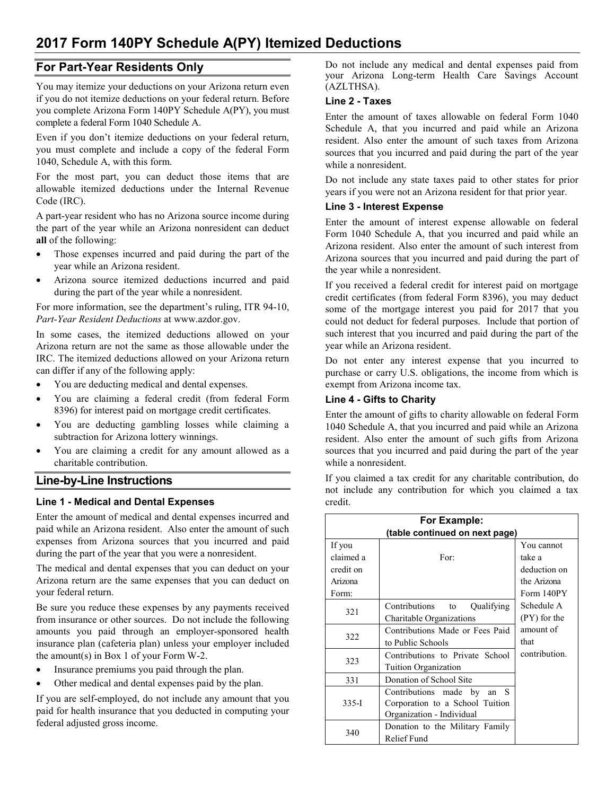# **2017 Form 140PY Schedule A(PY) Itemized Deductions**

# **For Part-Year Residents Only**

You may itemize your deductions on your Arizona return even if you do not itemize deductions on your federal return. Before you complete Arizona Form 140PY Schedule A(PY), you must complete a federal Form 1040 Schedule A.

Even if you don't itemize deductions on your federal return, you must complete and include a copy of the federal Form 1040, Schedule A, with this form.

For the most part, you can deduct those items that are allowable itemized deductions under the Internal Revenue Code (IRC).

A part-year resident who has no Arizona source income during the part of the year while an Arizona nonresident can deduct **all** of the following:

- Those expenses incurred and paid during the part of the year while an Arizona resident.
- Arizona source itemized deductions incurred and paid during the part of the year while a nonresident.

For more information, see the department's ruling, ITR 94-10, *Part-Year Resident Deductions* at www.azdor.gov.

In some cases, the itemized deductions allowed on your Arizona return are not the same as those allowable under the IRC. The itemized deductions allowed on your Arizona return can differ if any of the following apply:

- You are deducting medical and dental expenses.
- You are claiming a federal credit (from federal Form 8396) for interest paid on mortgage credit certificates.
- You are deducting gambling losses while claiming a subtraction for Arizona lottery winnings.
- You are claiming a credit for any amount allowed as a charitable contribution.

# **Line-by-Line Instructions**

# **Line 1 - Medical and Dental Expenses**

Enter the amount of medical and dental expenses incurred and paid while an Arizona resident. Also enter the amount of such expenses from Arizona sources that you incurred and paid during the part of the year that you were a nonresident.

The medical and dental expenses that you can deduct on your Arizona return are the same expenses that you can deduct on your federal return.

Be sure you reduce these expenses by any payments received from insurance or other sources. Do not include the following amounts you paid through an employer-sponsored health insurance plan (cafeteria plan) unless your employer included the amount(s) in Box 1 of your Form W-2.

- Insurance premiums you paid through the plan.
- Other medical and dental expenses paid by the plan.

If you are self-employed, do not include any amount that you paid for health insurance that you deducted in computing your federal adjusted gross income.

Do not include any medical and dental expenses paid from your Arizona Long-term Health Care Savings Account (AZLTHSA).

#### **Line 2 - Taxes**

Enter the amount of taxes allowable on federal Form 1040 Schedule A, that you incurred and paid while an Arizona resident. Also enter the amount of such taxes from Arizona sources that you incurred and paid during the part of the year while a nonresident.

Do not include any state taxes paid to other states for prior years if you were not an Arizona resident for that prior year.

#### **Line 3 - Interest Expense**

Enter the amount of interest expense allowable on federal Form 1040 Schedule A, that you incurred and paid while an Arizona resident. Also enter the amount of such interest from Arizona sources that you incurred and paid during the part of the year while a nonresident.

If you received a federal credit for interest paid on mortgage credit certificates (from federal Form 8396), you may deduct some of the mortgage interest you paid for 2017 that you could not deduct for federal purposes. Include that portion of such interest that you incurred and paid during the part of the year while an Arizona resident.

Do not enter any interest expense that you incurred to purchase or carry U.S. obligations, the income from which is exempt from Arizona income tax.

# **Line 4 - Gifts to Charity**

Enter the amount of gifts to charity allowable on federal Form 1040 Schedule A, that you incurred and paid while an Arizona resident. Also enter the amount of such gifts from Arizona sources that you incurred and paid during the part of the year while a nonresident.

If you claimed a tax credit for any charitable contribution, do not include any contribution for which you claimed a tax credit.

| For Example:                   |                                 |               |  |
|--------------------------------|---------------------------------|---------------|--|
| (table continued on next page) |                                 |               |  |
| If you                         |                                 | You cannot    |  |
| claimed a                      | For:                            | take a        |  |
| credit on                      |                                 | deduction on  |  |
| Arizona                        |                                 | the Arizona   |  |
| Form:                          |                                 | Form 140PY    |  |
| 321                            | Contributions to<br>Qualifying  | Schedule A    |  |
|                                | Charitable Organizations        | (PY) for the  |  |
| 322                            | Contributions Made or Fees Paid | amount of     |  |
|                                | to Public Schools               | that          |  |
| 323                            | Contributions to Private School | contribution. |  |
|                                | Tuition Organization            |               |  |
| 331                            | Donation of School Site         |               |  |
| $335-I$                        | Contributions made by<br>an S   |               |  |
|                                | Corporation to a School Tuition |               |  |
|                                | Organization - Individual       |               |  |
| 340                            | Donation to the Military Family |               |  |
|                                | Relief Fund                     |               |  |